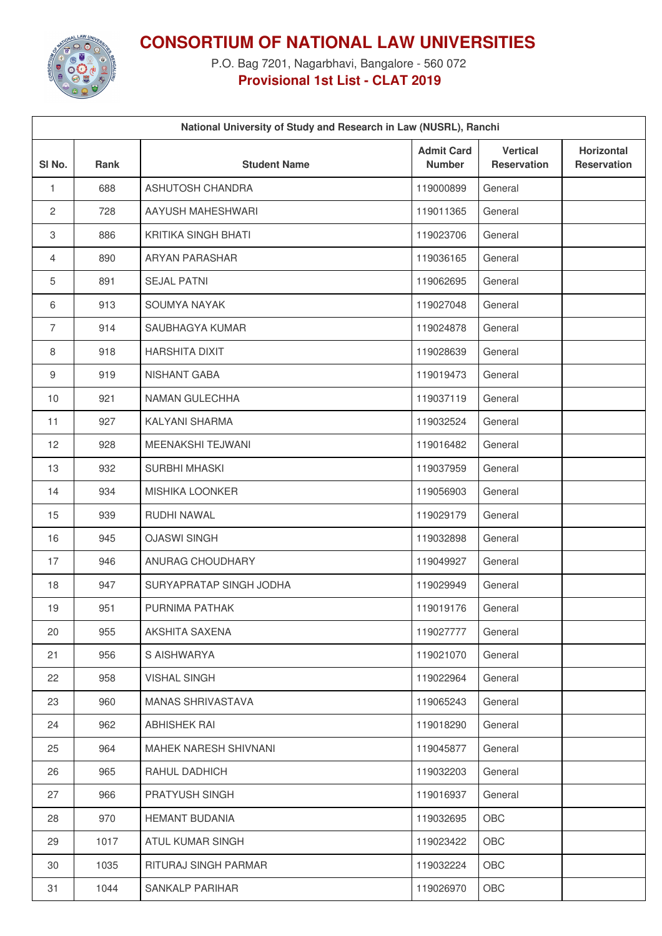

## **CONSORTIUM OF NATIONAL LAW UNIVERSITIES**

P.O. Bag 7201, Nagarbhavi, Bangalore - 560 072 **Provisional 1st List - CLAT 2019**

|                | National University of Study and Research in Law (NUSRL), Ranchi |                          |                                    |                                       |                                         |  |
|----------------|------------------------------------------------------------------|--------------------------|------------------------------------|---------------------------------------|-----------------------------------------|--|
| SI No.         | Rank                                                             | <b>Student Name</b>      | <b>Admit Card</b><br><b>Number</b> | <b>Vertical</b><br><b>Reservation</b> | <b>Horizontal</b><br><b>Reservation</b> |  |
| 1              | 688                                                              | ASHUTOSH CHANDRA         | 119000899                          | General                               |                                         |  |
| 2              | 728                                                              | AAYUSH MAHESHWARI        | 119011365                          | General                               |                                         |  |
| 3              | 886                                                              | KRITIKA SINGH BHATI      | 119023706                          | General                               |                                         |  |
| 4              | 890                                                              | <b>ARYAN PARASHAR</b>    | 119036165                          | General                               |                                         |  |
| 5              | 891                                                              | <b>SEJAL PATNI</b>       | 119062695                          | General                               |                                         |  |
| 6              | 913                                                              | SOUMYA NAYAK             | 119027048                          | General                               |                                         |  |
| $\overline{7}$ | 914                                                              | SAUBHAGYA KUMAR          | 119024878                          | General                               |                                         |  |
| 8              | 918                                                              | <b>HARSHITA DIXIT</b>    | 119028639                          | General                               |                                         |  |
| 9              | 919                                                              | NISHANT GABA             | 119019473                          | General                               |                                         |  |
| 10             | 921                                                              | NAMAN GULECHHA           | 119037119                          | General                               |                                         |  |
| 11             | 927                                                              | KALYANI SHARMA           | 119032524                          | General                               |                                         |  |
| 12             | 928                                                              | MEENAKSHI TEJWANI        | 119016482                          | General                               |                                         |  |
| 13             | 932                                                              | <b>SURBHI MHASKI</b>     | 119037959                          | General                               |                                         |  |
| 14             | 934                                                              | <b>MISHIKA LOONKER</b>   | 119056903                          | General                               |                                         |  |
| 15             | 939                                                              | RUDHI NAWAL              | 119029179                          | General                               |                                         |  |
| 16             | 945                                                              | <b>OJASWI SINGH</b>      | 119032898                          | General                               |                                         |  |
| 17             | 946                                                              | ANURAG CHOUDHARY         | 119049927                          | General                               |                                         |  |
| 18             | 947                                                              | SURYAPRATAP SINGH JODHA  | 119029949                          | General                               |                                         |  |
| 19             | 951                                                              | PURNIMA PATHAK           | 119019176                          | General                               |                                         |  |
| 20             | 955                                                              | AKSHITA SAXENA           | 119027777                          | General                               |                                         |  |
| 21             | 956                                                              | S AISHWARYA              | 119021070                          | General                               |                                         |  |
| 22             | 958                                                              | <b>VISHAL SINGH</b>      | 119022964                          | General                               |                                         |  |
| 23             | 960                                                              | <b>MANAS SHRIVASTAVA</b> | 119065243                          | General                               |                                         |  |
| 24             | 962                                                              | <b>ABHISHEK RAI</b>      | 119018290                          | General                               |                                         |  |
| 25             | 964                                                              | MAHEK NARESH SHIVNANI    | 119045877                          | General                               |                                         |  |
| 26             | 965                                                              | RAHUL DADHICH            | 119032203                          | General                               |                                         |  |
| 27             | 966                                                              | PRATYUSH SINGH           | 119016937                          | General                               |                                         |  |
| 28             | 970                                                              | <b>HEMANT BUDANIA</b>    | 119032695                          | OBC                                   |                                         |  |
| 29             | 1017                                                             | ATUL KUMAR SINGH         | 119023422                          | OBC                                   |                                         |  |
| 30             | 1035                                                             | RITURAJ SINGH PARMAR     | 119032224                          | OBC                                   |                                         |  |
| 31             | 1044                                                             | SANKALP PARIHAR          | 119026970                          | OBC                                   |                                         |  |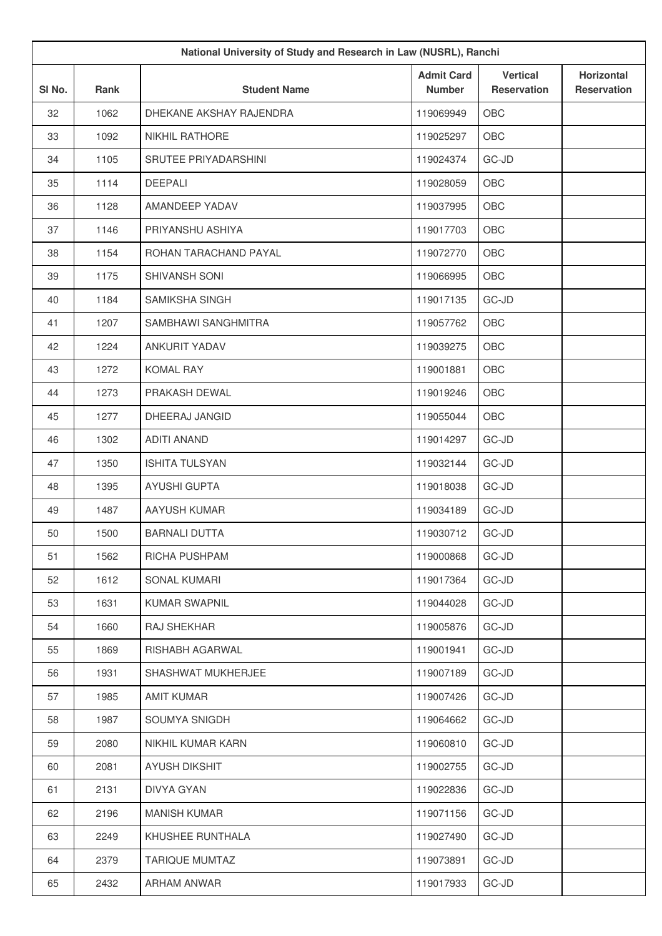| National University of Study and Research in Law (NUSRL), Ranchi |      |                         |                                    |                                       |                                         |
|------------------------------------------------------------------|------|-------------------------|------------------------------------|---------------------------------------|-----------------------------------------|
| SI No.                                                           | Rank | <b>Student Name</b>     | <b>Admit Card</b><br><b>Number</b> | <b>Vertical</b><br><b>Reservation</b> | <b>Horizontal</b><br><b>Reservation</b> |
| 32                                                               | 1062 | DHEKANE AKSHAY RAJENDRA | 119069949                          | OBC                                   |                                         |
| 33                                                               | 1092 | <b>NIKHIL RATHORE</b>   | 119025297                          | OBC                                   |                                         |
| 34                                                               | 1105 | SRUTEE PRIYADARSHINI    | 119024374                          | GC-JD                                 |                                         |
| 35                                                               | 1114 | <b>DEEPALI</b>          | 119028059                          | OBC                                   |                                         |
| 36                                                               | 1128 | AMANDEEP YADAV          | 119037995                          | OBC                                   |                                         |
| 37                                                               | 1146 | PRIYANSHU ASHIYA        | 119017703                          | OBC                                   |                                         |
| 38                                                               | 1154 | ROHAN TARACHAND PAYAL   | 119072770                          | OBC                                   |                                         |
| 39                                                               | 1175 | SHIVANSH SONI           | 119066995                          | OBC                                   |                                         |
| 40                                                               | 1184 | <b>SAMIKSHA SINGH</b>   | 119017135                          | GC-JD                                 |                                         |
| 41                                                               | 1207 | SAMBHAWI SANGHMITRA     | 119057762                          | OBC                                   |                                         |
| 42                                                               | 1224 | <b>ANKURIT YADAV</b>    | 119039275                          | OBC                                   |                                         |
| 43                                                               | 1272 | <b>KOMAL RAY</b>        | 119001881                          | OBC                                   |                                         |
| 44                                                               | 1273 | PRAKASH DEWAL           | 119019246                          | OBC                                   |                                         |
| 45                                                               | 1277 | DHEERAJ JANGID          | 119055044                          | OBC                                   |                                         |
| 46                                                               | 1302 | <b>ADITI ANAND</b>      | 119014297                          | GC-JD                                 |                                         |
| 47                                                               | 1350 | <b>ISHITA TULSYAN</b>   | 119032144                          | GC-JD                                 |                                         |
| 48                                                               | 1395 | <b>AYUSHI GUPTA</b>     | 119018038                          | GC-JD                                 |                                         |
| 49                                                               | 1487 | AAYUSH KUMAR            | 119034189                          | GC-JD                                 |                                         |
| 50                                                               | 1500 | <b>BARNALI DUTTA</b>    | 119030712                          | GC-JD                                 |                                         |
| 51                                                               | 1562 | RICHA PUSHPAM           | 119000868                          | GC-JD                                 |                                         |
| 52                                                               | 1612 | SONAL KUMARI            | 119017364                          | GC-JD                                 |                                         |
| 53                                                               | 1631 | <b>KUMAR SWAPNIL</b>    | 119044028                          | GC-JD                                 |                                         |
| 54                                                               | 1660 | RAJ SHEKHAR             | 119005876                          | GC-JD                                 |                                         |
| 55                                                               | 1869 | RISHABH AGARWAL         | 119001941                          | GC-JD                                 |                                         |
| 56                                                               | 1931 | SHASHWAT MUKHERJEE      | 119007189                          | GC-JD                                 |                                         |
| 57                                                               | 1985 | <b>AMIT KUMAR</b>       | 119007426                          | GC-JD                                 |                                         |
| 58                                                               | 1987 | SOUMYA SNIGDH           | 119064662                          | GC-JD                                 |                                         |
| 59                                                               | 2080 | NIKHIL KUMAR KARN       | 119060810                          | GC-JD                                 |                                         |
| 60                                                               | 2081 | <b>AYUSH DIKSHIT</b>    | 119002755                          | GC-JD                                 |                                         |
| 61                                                               | 2131 | <b>DIVYA GYAN</b>       | 119022836                          | GC-JD                                 |                                         |
| 62                                                               | 2196 | <b>MANISH KUMAR</b>     | 119071156                          | GC-JD                                 |                                         |
| 63                                                               | 2249 | KHUSHEE RUNTHALA        | 119027490                          | GC-JD                                 |                                         |
| 64                                                               | 2379 | <b>TARIQUE MUMTAZ</b>   | 119073891                          | GC-JD                                 |                                         |
| 65                                                               | 2432 | ARHAM ANWAR             | 119017933                          | $GC-JD$                               |                                         |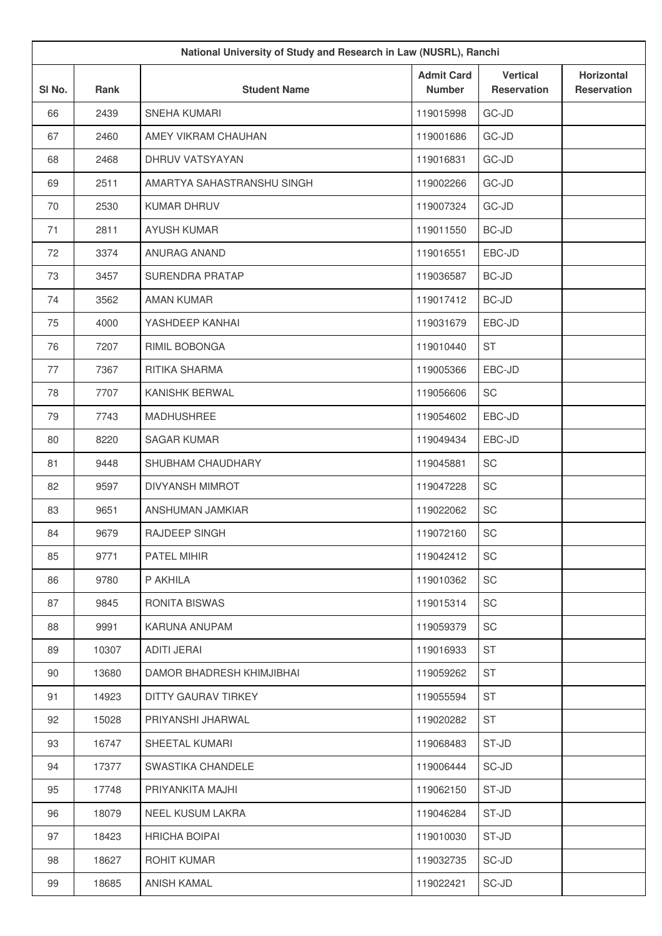| National University of Study and Research in Law (NUSRL), Ranchi |       |                            |                                    |                                       |                                  |
|------------------------------------------------------------------|-------|----------------------------|------------------------------------|---------------------------------------|----------------------------------|
| SI No.                                                           | Rank  | <b>Student Name</b>        | <b>Admit Card</b><br><b>Number</b> | <b>Vertical</b><br><b>Reservation</b> | Horizontal<br><b>Reservation</b> |
| 66                                                               | 2439  | SNEHA KUMARI               | 119015998                          | GC-JD                                 |                                  |
| 67                                                               | 2460  | AMEY VIKRAM CHAUHAN        | 119001686                          | GC-JD                                 |                                  |
| 68                                                               | 2468  | DHRUV VATSYAYAN            | 119016831                          | GC-JD                                 |                                  |
| 69                                                               | 2511  | AMARTYA SAHASTRANSHU SINGH | 119002266                          | GC-JD                                 |                                  |
| 70                                                               | 2530  | KUMAR DHRUV                | 119007324                          | GC-JD                                 |                                  |
| 71                                                               | 2811  | <b>AYUSH KUMAR</b>         | 119011550                          | <b>BC-JD</b>                          |                                  |
| 72                                                               | 3374  | ANURAG ANAND               | 119016551                          | EBC-JD                                |                                  |
| 73                                                               | 3457  | SURENDRA PRATAP            | 119036587                          | <b>BC-JD</b>                          |                                  |
| 74                                                               | 3562  | <b>AMAN KUMAR</b>          | 119017412                          | <b>BC-JD</b>                          |                                  |
| 75                                                               | 4000  | YASHDEEP KANHAI            | 119031679                          | EBC-JD                                |                                  |
| 76                                                               | 7207  | RIMIL BOBONGA              | 119010440                          | <b>ST</b>                             |                                  |
| 77                                                               | 7367  | RITIKA SHARMA              | 119005366                          | EBC-JD                                |                                  |
| 78                                                               | 7707  | KANISHK BERWAL             | 119056606                          | SC                                    |                                  |
| 79                                                               | 7743  | <b>MADHUSHREE</b>          | 119054602                          | EBC-JD                                |                                  |
| 80                                                               | 8220  | <b>SAGAR KUMAR</b>         | 119049434                          | EBC-JD                                |                                  |
| 81                                                               | 9448  | SHUBHAM CHAUDHARY          | 119045881                          | SC                                    |                                  |
| 82                                                               | 9597  | <b>DIVYANSH MIMROT</b>     | 119047228                          | SC                                    |                                  |
| 83                                                               | 9651  | ANSHUMAN JAMKIAR           | 119022062                          | SC                                    |                                  |
| 84                                                               | 9679  | RAJDEEP SINGH              | 119072160                          | SC                                    |                                  |
| 85                                                               | 9771  | PATEL MIHIR                | 119042412                          | SC                                    |                                  |
| 86                                                               | 9780  | P AKHILA                   | 119010362                          | SC                                    |                                  |
| 87                                                               | 9845  | RONITA BISWAS              | 119015314                          | SC                                    |                                  |
| 88                                                               | 9991  | KARUNA ANUPAM              | 119059379                          | SC                                    |                                  |
| 89                                                               | 10307 | <b>ADITI JERAI</b>         | 119016933                          | <b>ST</b>                             |                                  |
| 90                                                               | 13680 | DAMOR BHADRESH KHIMJIBHAI  | 119059262                          | ST                                    |                                  |
| 91                                                               | 14923 | DITTY GAURAV TIRKEY        | 119055594                          | <b>ST</b>                             |                                  |
| 92                                                               | 15028 | PRIYANSHI JHARWAL          | 119020282                          | ST                                    |                                  |
| 93                                                               | 16747 | SHEETAL KUMARI             | 119068483                          | ST-JD                                 |                                  |
| 94                                                               | 17377 | SWASTIKA CHANDELE          | 119006444                          | SC-JD                                 |                                  |
| 95                                                               | 17748 | PRIYANKITA MAJHI           | 119062150                          | ST-JD                                 |                                  |
| 96                                                               | 18079 | NEEL KUSUM LAKRA           | 119046284                          | ST-JD                                 |                                  |
| 97                                                               | 18423 | <b>HRICHA BOIPAI</b>       | 119010030                          | ST-JD                                 |                                  |
| 98                                                               | 18627 | ROHIT KUMAR                | 119032735                          | SC-JD                                 |                                  |
| 99                                                               | 18685 | ANISH KAMAL                | 119022421                          | SC-JD                                 |                                  |